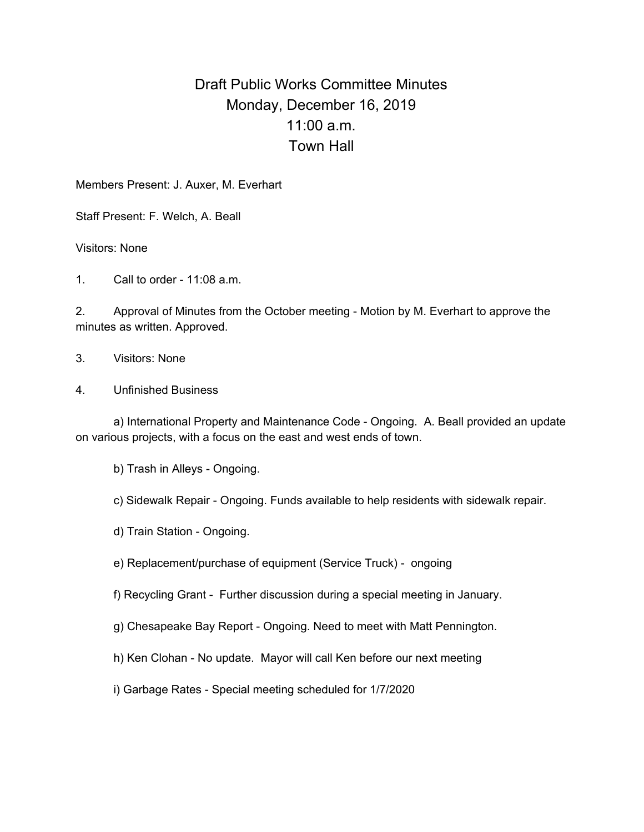## Draft Public Works Committee Minutes Monday, December 16, 2019 11:00 a.m. Town Hall

Members Present: J. Auxer, M. Everhart

Staff Present: F. Welch, A. Beall

Visitors: None

1. Call to order - 11:08 a.m.

2. Approval of Minutes from the October meeting - Motion by M. Everhart to approve the minutes as written. Approved.

3. Visitors: None

4. Unfinished Business

a) International Property and Maintenance Code - Ongoing. A. Beall provided an update on various projects, with a focus on the east and west ends of town.

b) Trash in Alleys - Ongoing.

c) Sidewalk Repair - Ongoing. Funds available to help residents with sidewalk repair.

d) Train Station - Ongoing.

e) Replacement/purchase of equipment (Service Truck) - ongoing

f) Recycling Grant - Further discussion during a special meeting in January.

g) Chesapeake Bay Report - Ongoing. Need to meet with Matt Pennington.

h) Ken Clohan - No update. Mayor will call Ken before our next meeting

i) Garbage Rates - Special meeting scheduled for 1/7/2020